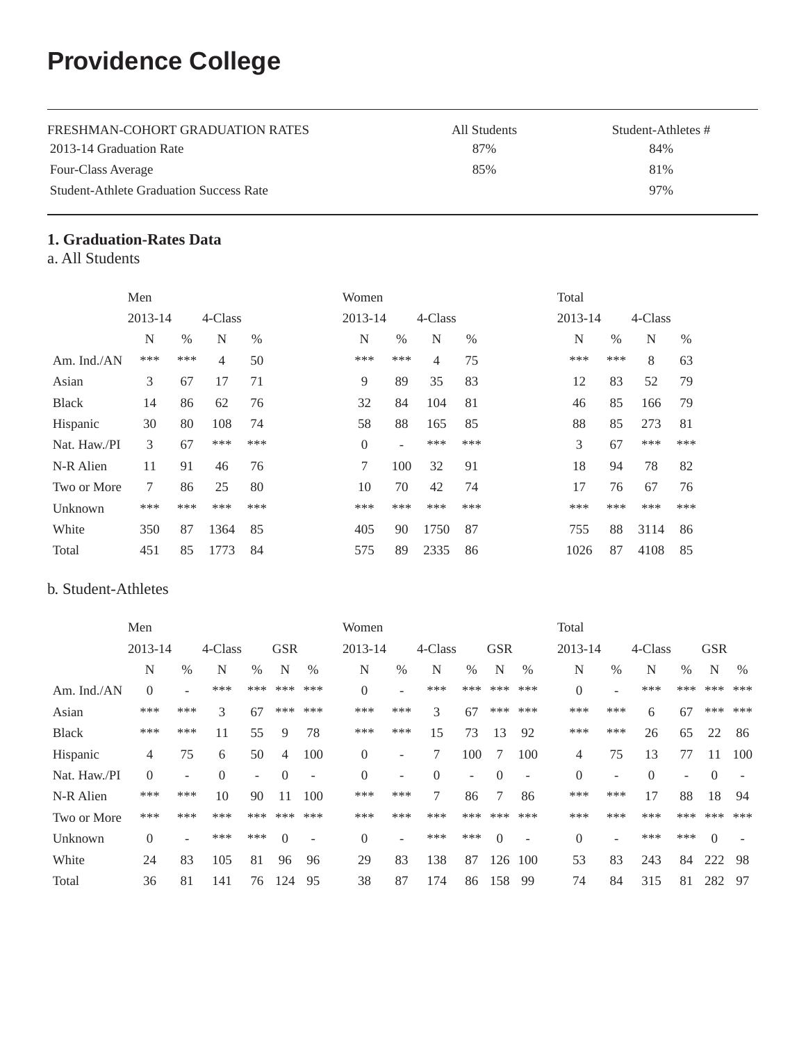# **Providence College**

| FRESHMAN-COHORT GRADUATION RATES               | All Students | Student-Athletes # |
|------------------------------------------------|--------------|--------------------|
| 2013-14 Graduation Rate                        | 87%          | 84%                |
| Four-Class Average                             | 85%          | 81%                |
| <b>Student-Athlete Graduation Success Rate</b> |              | 97%                |

## **1. Graduation-Rates Data**

a. All Students

|              | Men     |      |                |      | Women          |      |         |      | Total   |      |         |      |
|--------------|---------|------|----------------|------|----------------|------|---------|------|---------|------|---------|------|
|              | 2013-14 |      | 4-Class        |      | $2013 - 14$    |      | 4-Class |      | 2013-14 |      | 4-Class |      |
|              | N       | $\%$ | N              | $\%$ | N              | $\%$ | N       | $\%$ | N       | $\%$ | N       | $\%$ |
| Am. Ind./AN  | ***     | ***  | $\overline{4}$ | 50   | ***            | ***  | 4       | 75   | ***     | ***  | 8       | 63   |
| Asian        | 3       | 67   | 17             | 71   | 9              | 89   | 35      | 83   | 12      | 83   | 52      | 79   |
| <b>Black</b> | 14      | 86   | 62             | 76   | 32             | 84   | 104     | 81   | 46      | 85   | 166     | 79   |
| Hispanic     | 30      | 80   | 108            | 74   | 58             | 88   | 165     | 85   | 88      | 85   | 273     | 81   |
| Nat. Haw./PI | 3       | 67   | ***            | ***  | $\overline{0}$ | ÷    | ***     | ***  | 3       | 67   | ***     | ***  |
| N-R Alien    | 11      | 91   | 46             | 76   | 7              | 100  | 32      | 91   | 18      | 94   | 78      | 82   |
| Two or More  | 7       | 86   | 25             | 80   | 10             | 70   | 42      | 74   | 17      | 76   | 67      | 76   |
| Unknown      | ***     | ***  | ***            | ***  | ***            | ***  | ***     | ***  | ***     | ***  | ***     | ***  |
| White        | 350     | 87   | 1364           | 85   | 405            | 90   | 1750    | 87   | 755     | 88   | 3114    | 86   |
| Total        | 451     | 85   | 1773           | 84   | 575            | 89   | 2335    | 86   | 1026    | 87   | 4108    | 85   |

## b. Student-Athletes

|              | Men            |                          |                |      |            |                          | Women    |                          |          |                          |            |                          | Total          |      |          |                          |            |      |
|--------------|----------------|--------------------------|----------------|------|------------|--------------------------|----------|--------------------------|----------|--------------------------|------------|--------------------------|----------------|------|----------|--------------------------|------------|------|
|              | 2013-14        |                          | 4-Class        |      | <b>GSR</b> |                          | 2013-14  |                          | 4-Class  |                          | <b>GSR</b> |                          | 2013-14        |      | 4-Class  |                          | <b>GSR</b> |      |
|              | N              | $\%$                     | N              | $\%$ | N          | $\%$                     | N        | $\%$                     | N        | $\%$                     | N          | $\%$                     | N              | $\%$ | N        | $\%$                     | N          | $\%$ |
| Am. Ind./AN  | $\theta$       | ۰                        | ***            | ***  | ***        | ***                      | $\theta$ |                          | ***      | ***                      | ***        | ***                      | $\overline{0}$ |      | ***      | ***                      | ***        | ***  |
| Asian        | ***            | ***                      | 3              | 67   | ***        | ***                      | ***      | ***                      | 3        | 67                       | ***        | ***                      | ***            | ***  | 6        | 67                       | ***        | ***  |
| <b>Black</b> | ***            | ***                      | 11             | 55   | 9          | 78                       | ***      | ***                      | 15       | 73                       | 13         | 92                       | ***            | ***  | 26       | 65                       | 22         | 86   |
| Hispanic     | 4              | 75                       | 6              | 50   | 4          | 100                      | $\Omega$ | -                        |          | 100                      | 7          | 100                      | 4              | 75   | 13       | 77                       | 11         | 100  |
| Nat. Haw./PI | $\theta$       | $\overline{\phantom{a}}$ | $\overline{0}$ | ٠    | $\Omega$   | $\overline{\phantom{a}}$ | $\Omega$ | $\overline{\phantom{a}}$ | $\theta$ | $\overline{\phantom{0}}$ | $\Omega$   | $\overline{\phantom{a}}$ | $\overline{0}$ | ۰    | $\Omega$ | $\overline{\phantom{a}}$ | $\Omega$   |      |
| N-R Alien    | ***            | ***                      | 10             | 90   | 11         | 100                      | ***      | ***                      | 7        | 86                       | 7          | 86                       | ***            | ***  | 17       | 88                       | 18         | 94   |
| Two or More  | ***            | ***                      | ***            | ***  | ***        | ***                      | ***      | ***                      | ***      | ***                      | ***        | ***                      | ***            | ***  | ***      | ***                      | ***        | ***  |
| Unknown      | $\overline{0}$ | ۰                        | ***            | ***  | $\Omega$   | $\overline{\phantom{a}}$ | $\Omega$ |                          | ***      | ***                      | $\theta$   | ٠                        | $\overline{0}$ | ۰    | ***      | ***                      | $\Omega$   |      |
| White        | 24             | 83                       | 105            | 81   | 96         | 96                       | 29       | 83                       | 138      | 87                       | 126        | 100                      | 53             | 83   | 243      | 84                       | 222        | 98   |
| Total        | 36             | 81                       | 141            | 76   | 124        | 95                       | 38       | 87                       | 174      | 86                       | 158        | 99                       | 74             | 84   | 315      | 81                       | 282        | 97   |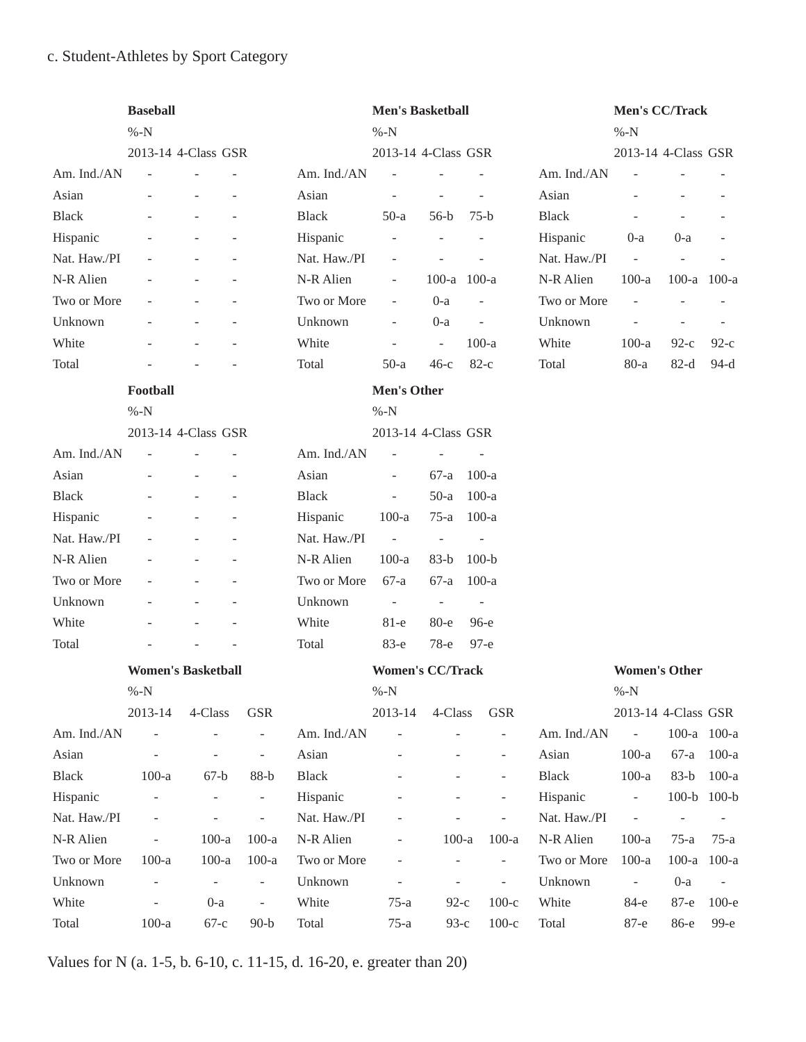## c. Student-Athletes by Sport Category

|              | <b>Baseball</b><br>$% -N$ |                           |                          |              | <b>Men's Basketball</b><br>$% -N$ |                              |                          |              | Men's CC/Track<br>$% -N$     |                          |                |
|--------------|---------------------------|---------------------------|--------------------------|--------------|-----------------------------------|------------------------------|--------------------------|--------------|------------------------------|--------------------------|----------------|
|              |                           | 2013-14 4-Class GSR       |                          |              | 2013-14 4-Class GSR               |                              |                          |              | 2013-14 4-Class GSR          |                          |                |
| Am. Ind./AN  | $\sim$                    |                           |                          | Am. Ind./AN  | $\overline{\phantom{a}}$          | $\overline{a}$               |                          | Am. Ind./AN  | $\overline{a}$               |                          |                |
| Asian        |                           |                           |                          | Asian        | $\overline{a}$                    | $\overline{\phantom{a}}$     | $\overline{\phantom{a}}$ | Asian        |                              |                          |                |
| <b>Black</b> |                           |                           |                          | <b>Black</b> | $50-a$                            | $56-b$                       | $75-b$                   | <b>Black</b> |                              |                          |                |
| Hispanic     |                           |                           |                          | Hispanic     | $\overline{a}$                    |                              |                          | Hispanic     | $0-a$                        | $0-a$                    |                |
| Nat. Haw./PI |                           |                           |                          | Nat. Haw./PI | $\frac{1}{2}$                     | $\overline{\phantom{a}}$     |                          | Nat. Haw./PI | $\Box$                       | $\overline{\phantom{a}}$ |                |
| N-R Alien    |                           |                           |                          | N-R Alien    | ÷,                                | 100-a 100-a                  |                          | N-R Alien    | $100-a$                      | 100-a 100-a              |                |
| Two or More  |                           |                           |                          | Two or More  | ÷,                                | $0-a$                        |                          | Two or More  | $\overline{a}$               |                          |                |
| Unknown      |                           |                           |                          | Unknown      | $\overline{\phantom{a}}$          | $0-a$                        | $\overline{\phantom{a}}$ | Unknown      | $\overline{a}$               | $\overline{\phantom{a}}$ |                |
| White        |                           |                           |                          | White        | L,                                | $\bar{\phantom{a}}$          | $100-a$                  | White        | $100-a$                      | $92-c$                   | $92-c$         |
| Total        |                           |                           |                          | Total        | $50-a$                            | $46-c$                       | $82-c$                   | Total        | $80-a$                       | $82-d$                   | $94-d$         |
|              | Football                  |                           |                          |              | <b>Men's Other</b>                |                              |                          |              |                              |                          |                |
|              | $% -N$                    |                           |                          |              | $\%$ -N                           |                              |                          |              |                              |                          |                |
|              |                           | 2013-14 4-Class GSR       |                          |              | 2013-14 4-Class GSR               |                              |                          |              |                              |                          |                |
| Am. Ind./AN  |                           |                           |                          | Am. Ind./AN  | $\qquad \qquad \blacksquare$      | $\overline{\phantom{a}}$     |                          |              |                              |                          |                |
| Asian        |                           |                           |                          | Asian        | ÷,                                | $67-a$                       | $100-a$                  |              |                              |                          |                |
| <b>Black</b> |                           |                           |                          | <b>Black</b> | ÷,                                | $50-a$                       | $100-a$                  |              |                              |                          |                |
| Hispanic     |                           |                           |                          | Hispanic     | $100-a$                           | $75-a$                       | $100-a$                  |              |                              |                          |                |
| Nat. Haw./PI |                           |                           |                          | Nat. Haw./PI | $\sim$ $\sim$                     | $\overline{\phantom{a}}$     | $\overline{\phantom{a}}$ |              |                              |                          |                |
| N-R Alien    |                           |                           |                          | N-R Alien    | $100-a$                           | $83-b$                       | $100-b$                  |              |                              |                          |                |
| Two or More  |                           |                           |                          | Two or More  | $67-a$                            | $67-a$                       | $100-a$                  |              |                              |                          |                |
| Unknown      |                           |                           |                          | Unknown      | $\sim$                            | $\equiv$                     | $\sim$                   |              |                              |                          |                |
| White        |                           |                           |                          | White        | $81-e$                            | $80 - e$                     | $96-e$                   |              |                              |                          |                |
| Total        |                           |                           |                          | Total        | 83-е                              | 78-е                         | $97-e$                   |              |                              |                          |                |
|              |                           | <b>Women's Basketball</b> |                          |              | <b>Women's CC/Track</b>           |                              |                          |              | <b>Women's Other</b>         |                          |                |
|              | $% -N$                    |                           |                          |              | $% -N$                            |                              |                          |              | $% -N$                       |                          |                |
|              | 2013-14                   | 4-Class                   | <b>GSR</b>               |              | 2013-14                           | 4-Class                      | <b>GSR</b>               |              | 2013-14 4-Class GSR          |                          |                |
| Am. Ind./AN  | $\Box$                    |                           | $\Box$                   | Am. Ind./AN  | ÷,                                |                              | $\overline{\phantom{a}}$ | Am. Ind./AN  | $\sim$ $-$                   | 100-a 100-a              |                |
| Asian        |                           |                           | $\overline{\phantom{a}}$ | Asian        |                                   |                              | $\blacksquare$           | Asian        | $100-a$                      | $67-a$                   | $100-a$        |
| <b>Black</b> | $100-a$                   | $67-b$                    | $88-b$                   | <b>Black</b> |                                   |                              |                          | Black        | $100-a$                      | $83-b$                   | $100-a$        |
| Hispanic     | $\overline{\phantom{a}}$  |                           | $\overline{\phantom{a}}$ | Hispanic     |                                   |                              |                          | Hispanic     | $\Box$                       | 100-b 100-b              |                |
| Nat. Haw./PI | $\overline{\phantom{a}}$  |                           | $\overline{\phantom{a}}$ | Nat. Haw./PI |                                   |                              | $\blacksquare$           | Nat. Haw./PI | $\blacksquare$               | $\blacksquare$           |                |
| N-R Alien    |                           | $100-a$                   | $100-a$                  | N-R Alien    |                                   | $100-a$                      | $100-a$                  | N-R Alien    | $100-a$                      | $75-a$                   | $75-a$         |
| Two or More  | $100-a$                   | $100-a$                   | $100-a$                  | Two or More  |                                   | $\overline{\phantom{a}}$     | $\overline{\phantom{a}}$ | Two or More  | $100-a$                      | $100-a$                  | $100-a$        |
| Unknown      |                           | $\overline{\phantom{a}}$  | $\blacksquare$           | Unknown      |                                   | $\qquad \qquad \blacksquare$ | $\overline{\phantom{a}}$ | Unknown      | $\qquad \qquad \blacksquare$ | $0-a$                    | $\blacksquare$ |
| White        |                           | $0-a$                     | $\overline{\phantom{m}}$ | White        | $75-a$                            | $92-c$                       | $100-c$                  | White        | 84-е                         | 87-е                     | $100-e$        |
| Total        | $100-a$                   | $67-c$                    | $90-b$                   | Total        | $75-a$                            | $93-c$                       | $100-c$                  | Total        | 87-е                         | 86-е                     | 99-е           |

Values for N (a. 1-5, b. 6-10, c. 11-15, d. 16-20, e. greater than 20)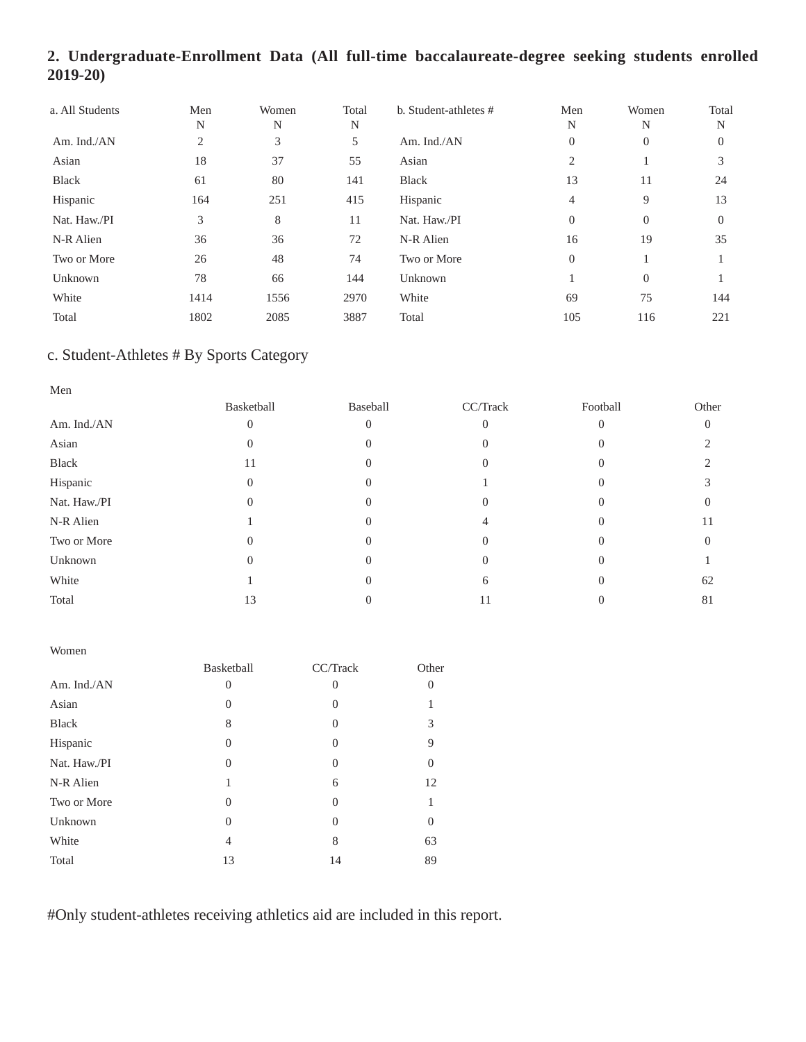## **2. Undergraduate-Enrollment Data (All full-time baccalaureate-degree seeking students enrolled 2019-20)**

| a. All Students | Men<br>N | Women<br>N | Total<br>N | b. Student-athletes # | Men<br>N       | Women<br>N     | Total<br>N |
|-----------------|----------|------------|------------|-----------------------|----------------|----------------|------------|
| Am. Ind./AN     | 2        | 3          | 5          | Am. Ind./AN           | $\overline{0}$ | $\overline{0}$ | $\theta$   |
| Asian           | 18       | 37         | 55         | Asian                 | 2              |                | 3          |
| <b>Black</b>    | 61       | 80         | 141        | <b>Black</b>          | 13             | 11             | 24         |
| Hispanic        | 164      | 251        | 415        | Hispanic              | 4              | 9              | 13         |
| Nat. Haw./PI    | 3        | 8          | 11         | Nat. Haw./PI          | $\Omega$       | $\overline{0}$ | $\Omega$   |
| N-R Alien       | 36       | 36         | 72         | N-R Alien             | 16             | 19             | 35         |
| Two or More     | 26       | 48         | 74         | Two or More           | $\Omega$       |                |            |
| Unknown         | 78       | 66         | 144        | Unknown               |                | $\Omega$       |            |
| White           | 1414     | 1556       | 2970       | White                 | 69             | 75             | 144        |
| Total           | 1802     | 2085       | 3887       | Total                 | 105            | 116            | 221        |

## c. Student-Athletes # By Sports Category

| Men          |            |          |          |          |                |
|--------------|------------|----------|----------|----------|----------------|
|              | Basketball | Baseball | CC/Track | Football | Other          |
| Am. Ind./AN  |            | 0        |          |          | $\overline{0}$ |
| Asian        | 0          | $\Omega$ | 0        |          |                |
| Black        | 11         |          |          |          |                |
| Hispanic     | $\theta$   | 0        |          |          |                |
| Nat. Haw./PI |            | 0        |          |          |                |
| N-R Alien    |            | $\theta$ |          |          | 11             |
| Two or More  |            | 0        | 0        |          | 0              |
| Unknown      |            |          |          |          |                |
| White        |            | 0        | b        |          | 62             |
| Total        | 13         |          | 11       |          | 81             |

| Women        |            |          |          |
|--------------|------------|----------|----------|
|              | Basketball | CC/Track | Other    |
| Am. Ind./AN  | 0          | 0        | $\Omega$ |
| Asian        | $\theta$   | 0        |          |
| <b>Black</b> | 8          | 0        | 3        |
| Hispanic     | $\theta$   | 0        | 9        |
| Nat. Haw./PI | 0          | 0        | $\Omega$ |
| N-R Alien    |            | 6        | 12       |
| Two or More  | 0          | 0        |          |
| Unknown      | 0          | $\Omega$ | $\Omega$ |
| White        | 4          | 8        | 63       |
| Total        | 13         | 14       | 89       |

#Only student-athletes receiving athletics aid are included in this report.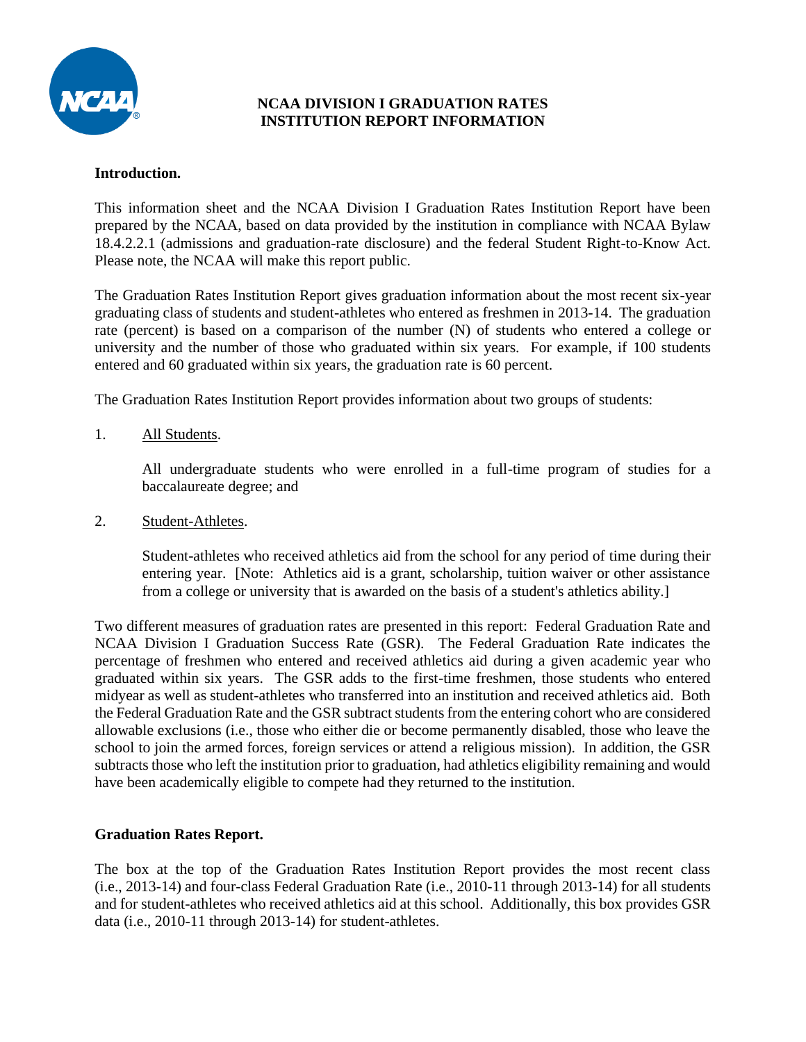

#### **NCAA DIVISION I GRADUATION RATES INSTITUTION REPORT INFORMATION**

#### **Introduction.**

This information sheet and the NCAA Division I Graduation Rates Institution Report have been prepared by the NCAA, based on data provided by the institution in compliance with NCAA Bylaw 18.4.2.2.1 (admissions and graduation-rate disclosure) and the federal Student Right-to-Know Act. Please note, the NCAA will make this report public.

The Graduation Rates Institution Report gives graduation information about the most recent six-year graduating class of students and student-athletes who entered as freshmen in 2013-14. The graduation rate (percent) is based on a comparison of the number (N) of students who entered a college or university and the number of those who graduated within six years. For example, if 100 students entered and 60 graduated within six years, the graduation rate is 60 percent.

The Graduation Rates Institution Report provides information about two groups of students:

1. All Students.

All undergraduate students who were enrolled in a full-time program of studies for a baccalaureate degree; and

2. Student-Athletes.

Student-athletes who received athletics aid from the school for any period of time during their entering year. [Note: Athletics aid is a grant, scholarship, tuition waiver or other assistance from a college or university that is awarded on the basis of a student's athletics ability.]

Two different measures of graduation rates are presented in this report: Federal Graduation Rate and NCAA Division I Graduation Success Rate (GSR). The Federal Graduation Rate indicates the percentage of freshmen who entered and received athletics aid during a given academic year who graduated within six years. The GSR adds to the first-time freshmen, those students who entered midyear as well as student-athletes who transferred into an institution and received athletics aid. Both the Federal Graduation Rate and the GSR subtract students from the entering cohort who are considered allowable exclusions (i.e., those who either die or become permanently disabled, those who leave the school to join the armed forces, foreign services or attend a religious mission). In addition, the GSR subtracts those who left the institution prior to graduation, had athletics eligibility remaining and would have been academically eligible to compete had they returned to the institution.

#### **Graduation Rates Report.**

The box at the top of the Graduation Rates Institution Report provides the most recent class (i.e., 2013-14) and four-class Federal Graduation Rate (i.e., 2010-11 through 2013-14) for all students and for student-athletes who received athletics aid at this school. Additionally, this box provides GSR data (i.e., 2010-11 through 2013-14) for student-athletes.